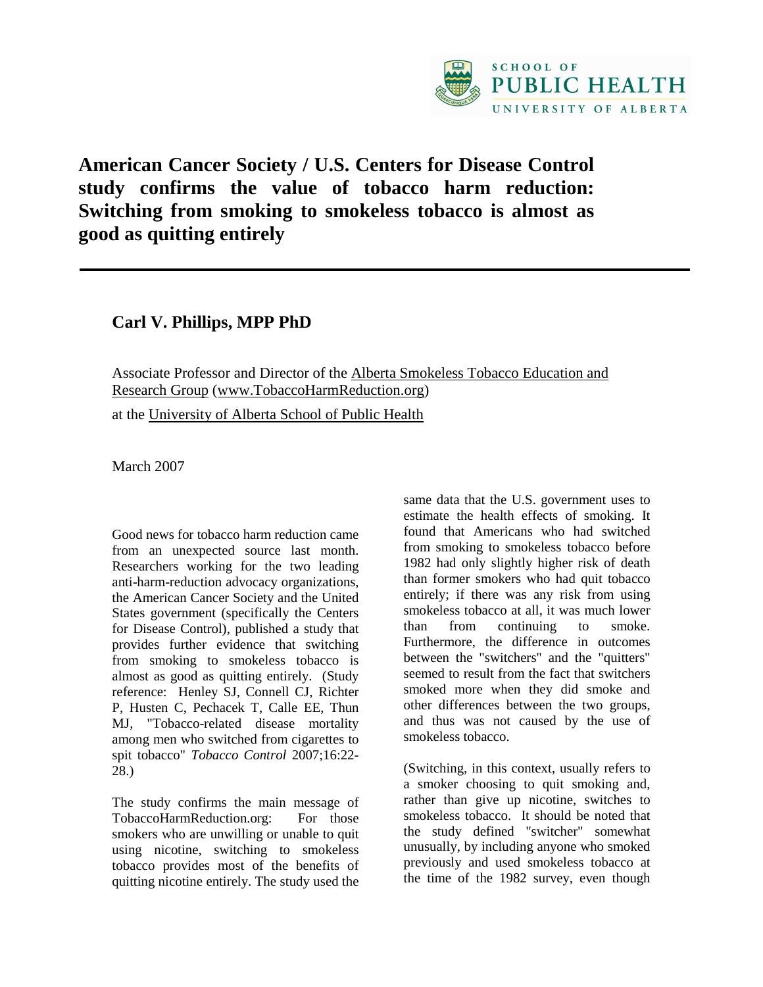

## **American Cancer Society / U.S. Centers for Disease Control study confirms the value of tobacco harm reduction: Switching from smoking to smokeless tobacco is almost as good as quitting entirely**

**Carl V. Phillips, MPP PhD** 

Associate Professor and Director of the Alberta Smokeless Tobacco Education and Research Group (www.TobaccoHarmReduction.org)

at the University of Alberta School of Public Health

March 2007

Good news for tobacco harm reduction came from an unexpected source last month. Researchers working for the two leading anti-harm-reduction advocacy organizations, the American Cancer Society and the United States government (specifically the Centers for Disease Control), published a study that provides further evidence that switching from smoking to smokeless tobacco is almost as good as quitting entirely. (Study reference: Henley SJ, Connell CJ, Richter P, Husten C, Pechacek T, Calle EE, Thun MJ, "Tobacco-related disease mortality among men who switched from cigarettes to spit tobacco" *Tobacco Control* 2007;16:22- 28.)

The study confirms the main message of TobaccoHarmReduction.org: For those smokers who are unwilling or unable to quit using nicotine, switching to smokeless tobacco provides most of the benefits of quitting nicotine entirely. The study used the same data that the U.S. government uses to estimate the health effects of smoking. It found that Americans who had switched from smoking to smokeless tobacco before 1982 had only slightly higher risk of death than former smokers who had quit tobacco entirely; if there was any risk from using smokeless tobacco at all, it was much lower than from continuing to smoke. Furthermore, the difference in outcomes between the "switchers" and the "quitters" seemed to result from the fact that switchers smoked more when they did smoke and other differences between the two groups, and thus was not caused by the use of smokeless tobacco.

(Switching, in this context, usually refers to a smoker choosing to quit smoking and, rather than give up nicotine, switches to smokeless tobacco. It should be noted that the study defined "switcher" somewhat unusually, by including anyone who smoked previously and used smokeless tobacco at the time of the 1982 survey, even though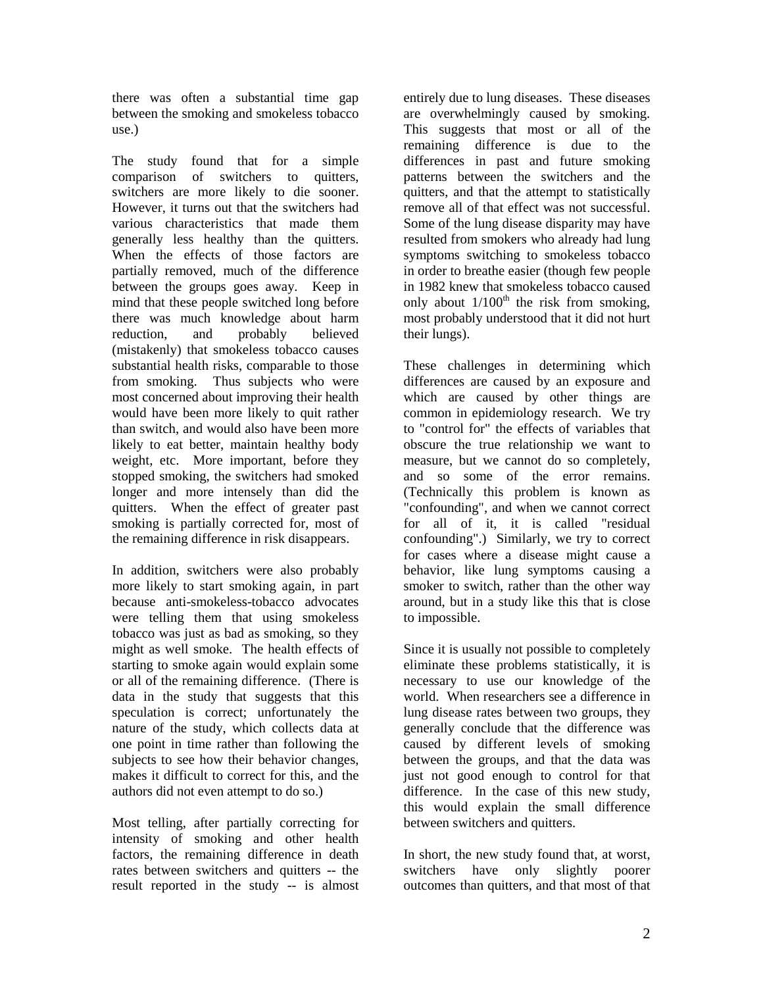there was often a substantial time gap between the smoking and smokeless tobacco use.)

The study found that for a simple comparison of switchers to quitters, switchers are more likely to die sooner. However, it turns out that the switchers had various characteristics that made them generally less healthy than the quitters. When the effects of those factors are partially removed, much of the difference between the groups goes away. Keep in mind that these people switched long before there was much knowledge about harm reduction, and probably believed (mistakenly) that smokeless tobacco causes substantial health risks, comparable to those from smoking. Thus subjects who were most concerned about improving their health would have been more likely to quit rather than switch, and would also have been more likely to eat better, maintain healthy body weight, etc. More important, before they stopped smoking, the switchers had smoked longer and more intensely than did the quitters. When the effect of greater past smoking is partially corrected for, most of the remaining difference in risk disappears.

In addition, switchers were also probably more likely to start smoking again, in part because anti-smokeless-tobacco advocates were telling them that using smokeless tobacco was just as bad as smoking, so they might as well smoke. The health effects of starting to smoke again would explain some or all of the remaining difference. (There is data in the study that suggests that this speculation is correct; unfortunately the nature of the study, which collects data at one point in time rather than following the subjects to see how their behavior changes, makes it difficult to correct for this, and the authors did not even attempt to do so.)

Most telling, after partially correcting for intensity of smoking and other health factors, the remaining difference in death rates between switchers and quitters -- the result reported in the study -- is almost

entirely due to lung diseases. These diseases are overwhelmingly caused by smoking. This suggests that most or all of the remaining difference is due to the differences in past and future smoking patterns between the switchers and the quitters, and that the attempt to statistically remove all of that effect was not successful. Some of the lung disease disparity may have resulted from smokers who already had lung symptoms switching to smokeless tobacco in order to breathe easier (though few people in 1982 knew that smokeless tobacco caused only about  $1/100<sup>th</sup>$  the risk from smoking, most probably understood that it did not hurt their lungs).

These challenges in determining which differences are caused by an exposure and which are caused by other things are common in epidemiology research. We try to "control for" the effects of variables that obscure the true relationship we want to measure, but we cannot do so completely, and so some of the error remains. (Technically this problem is known as "confounding", and when we cannot correct for all of it, it is called "residual confounding".) Similarly, we try to correct for cases where a disease might cause a behavior, like lung symptoms causing a smoker to switch, rather than the other way around, but in a study like this that is close to impossible.

Since it is usually not possible to completely eliminate these problems statistically, it is necessary to use our knowledge of the world. When researchers see a difference in lung disease rates between two groups, they generally conclude that the difference was caused by different levels of smoking between the groups, and that the data was just not good enough to control for that difference. In the case of this new study, this would explain the small difference between switchers and quitters.

In short, the new study found that, at worst, switchers have only slightly poorer outcomes than quitters, and that most of that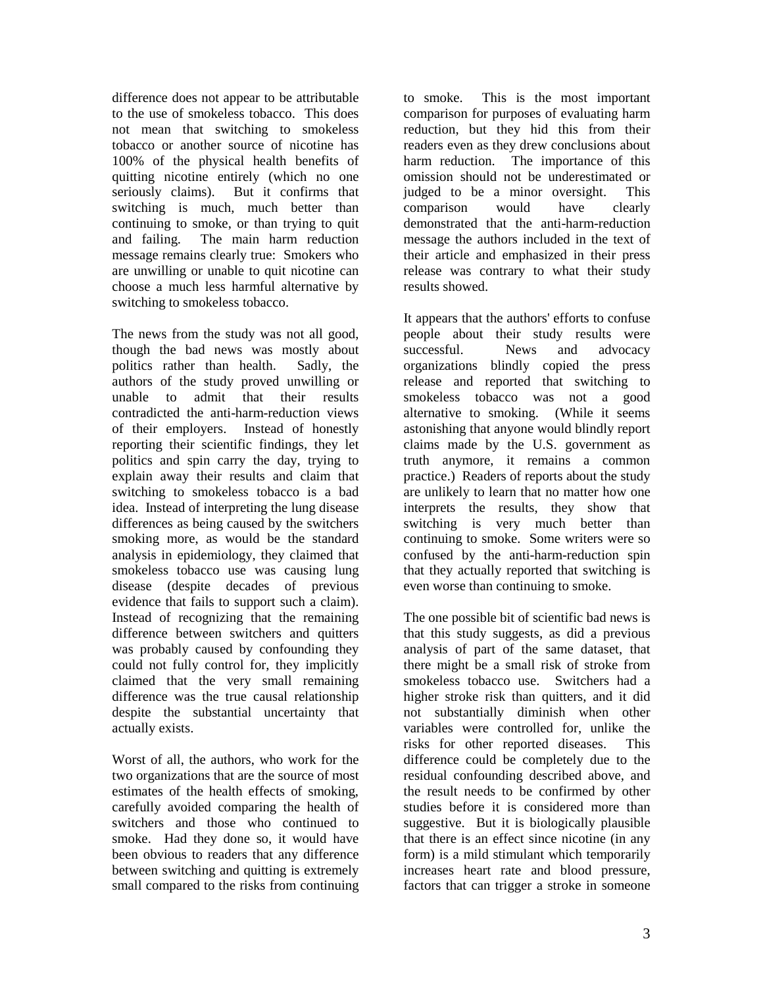difference does not appear to be attributable to the use of smokeless tobacco. This does not mean that switching to smokeless tobacco or another source of nicotine has 100% of the physical health benefits of quitting nicotine entirely (which no one seriously claims). But it confirms that switching is much, much better than continuing to smoke, or than trying to quit and failing. The main harm reduction message remains clearly true: Smokers who are unwilling or unable to quit nicotine can choose a much less harmful alternative by switching to smokeless tobacco.

The news from the study was not all good, though the bad news was mostly about politics rather than health. Sadly, the authors of the study proved unwilling or unable to admit that their results contradicted the anti-harm-reduction views of their employers. Instead of honestly reporting their scientific findings, they let politics and spin carry the day, trying to explain away their results and claim that switching to smokeless tobacco is a bad idea. Instead of interpreting the lung disease differences as being caused by the switchers smoking more, as would be the standard analysis in epidemiology, they claimed that smokeless tobacco use was causing lung disease (despite decades of previous evidence that fails to support such a claim). Instead of recognizing that the remaining difference between switchers and quitters was probably caused by confounding they could not fully control for, they implicitly claimed that the very small remaining difference was the true causal relationship despite the substantial uncertainty that actually exists.

Worst of all, the authors, who work for the two organizations that are the source of most estimates of the health effects of smoking, carefully avoided comparing the health of switchers and those who continued to smoke. Had they done so, it would have been obvious to readers that any difference between switching and quitting is extremely small compared to the risks from continuing

to smoke. This is the most important comparison for purposes of evaluating harm reduction, but they hid this from their readers even as they drew conclusions about harm reduction. The importance of this omission should not be underestimated or judged to be a minor oversight. This comparison would have clearly demonstrated that the anti-harm-reduction message the authors included in the text of their article and emphasized in their press release was contrary to what their study results showed.

It appears that the authors' efforts to confuse people about their study results were successful. News and advocacy organizations blindly copied the press release and reported that switching to smokeless tobacco was not a good alternative to smoking. (While it seems astonishing that anyone would blindly report claims made by the U.S. government as truth anymore, it remains a common practice.) Readers of reports about the study are unlikely to learn that no matter how one interprets the results, they show that switching is very much better than continuing to smoke. Some writers were so confused by the anti-harm-reduction spin that they actually reported that switching is even worse than continuing to smoke.

The one possible bit of scientific bad news is that this study suggests, as did a previous analysis of part of the same dataset, that there might be a small risk of stroke from smokeless tobacco use. Switchers had a higher stroke risk than quitters, and it did not substantially diminish when other variables were controlled for, unlike the risks for other reported diseases. This difference could be completely due to the residual confounding described above, and the result needs to be confirmed by other studies before it is considered more than suggestive. But it is biologically plausible that there is an effect since nicotine (in any form) is a mild stimulant which temporarily increases heart rate and blood pressure, factors that can trigger a stroke in someone